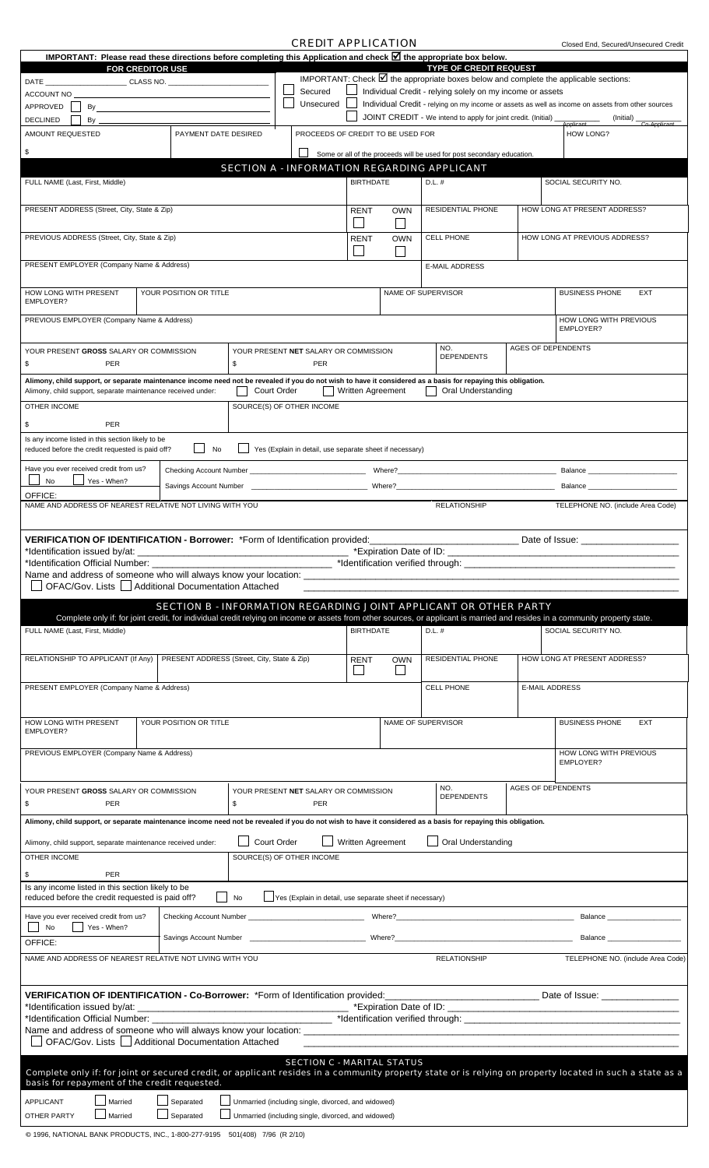## *CREDIT APPLICATION*

Closed End, Secured/Unsecured Credit

| IMPORTANT: Please read these directions before completing this Application and check <b>M</b> the appropriate box below.                                      |                                                                                                                                                                                                                                              |                           |  |            |                                                          |            |          | <b>TYPE OF CREDIT REQUEST</b>                                                                                                |  |                                                                                                                                                                              |  |  |
|---------------------------------------------------------------------------------------------------------------------------------------------------------------|----------------------------------------------------------------------------------------------------------------------------------------------------------------------------------------------------------------------------------------------|---------------------------|--|------------|----------------------------------------------------------|------------|----------|------------------------------------------------------------------------------------------------------------------------------|--|------------------------------------------------------------------------------------------------------------------------------------------------------------------------------|--|--|
| <b>FOR CREDITOR USE</b><br>DATE __________________________________CLASS NO. _______________________________                                                   |                                                                                                                                                                                                                                              |                           |  |            |                                                          |            |          |                                                                                                                              |  | IMPORTANT: Check $\boxtimes$ the appropriate boxes below and complete the applicable sections:                                                                               |  |  |
| <b>ACCOUNT NO</b>                                                                                                                                             |                                                                                                                                                                                                                                              |                           |  | Secured    |                                                          |            |          | Individual Credit - relying solely on my income or assets                                                                    |  |                                                                                                                                                                              |  |  |
| APPROVED                                                                                                                                                      | By <u>service</u> and the service of the service of the service of the service of the service of the service of the service of the service of the service of the service of the service of the service of the service of the servic          |                           |  | Unsecured  |                                                          |            |          | JOINT CREDIT - We intend to apply for joint credit. (Initial) _                                                              |  | Individual Credit - relying on my income or assets as well as income on assets from other sources<br>(Initial)                                                               |  |  |
| <b>DECLINED</b><br>By<br>AMOUNT REQUESTED                                                                                                                     | PAYMENT DATE DESIRED                                                                                                                                                                                                                         |                           |  |            | PROCEEDS OF CREDIT TO BE USED FOR                        |            |          |                                                                                                                              |  | <b>HOW LONG?</b>                                                                                                                                                             |  |  |
| \$                                                                                                                                                            |                                                                                                                                                                                                                                              |                           |  |            |                                                          |            |          |                                                                                                                              |  |                                                                                                                                                                              |  |  |
|                                                                                                                                                               |                                                                                                                                                                                                                                              |                           |  |            |                                                          |            |          | Some or all of the proceeds will be used for post secondary education.<br><b>SECTION A - INFORMATION REGARDING APPLICANT</b> |  |                                                                                                                                                                              |  |  |
| FULL NAME (Last, First, Middle)                                                                                                                               |                                                                                                                                                                                                                                              |                           |  |            | <b>BIRTHDATE</b>                                         |            | D.L. #   |                                                                                                                              |  | SOCIAL SECURITY NO.                                                                                                                                                          |  |  |
| PRESENT ADDRESS (Street, City, State & Zip)                                                                                                                   |                                                                                                                                                                                                                                              |                           |  |            | <b>RENT</b>                                              | <b>OWN</b> |          | <b>RESIDENTIAL PHONE</b>                                                                                                     |  | HOW LONG AT PRESENT ADDRESS?                                                                                                                                                 |  |  |
|                                                                                                                                                               |                                                                                                                                                                                                                                              |                           |  |            |                                                          | $\sim$     |          | <b>CELL PHONE</b>                                                                                                            |  | HOW LONG AT PREVIOUS ADDRESS?                                                                                                                                                |  |  |
| PREVIOUS ADDRESS (Street, City, State & Zip)                                                                                                                  |                                                                                                                                                                                                                                              |                           |  |            | <b>RENT</b><br><b>OWN</b><br>$\sim$                      |            |          |                                                                                                                              |  |                                                                                                                                                                              |  |  |
| PRESENT EMPLOYER (Company Name & Address)                                                                                                                     |                                                                                                                                                                                                                                              |                           |  |            |                                                          |            |          | <b>E-MAIL ADDRESS</b>                                                                                                        |  |                                                                                                                                                                              |  |  |
| HOW LONG WITH PRESENT                                                                                                                                         | YOUR POSITION OR TITLE                                                                                                                                                                                                                       |                           |  |            |                                                          |            |          | NAME OF SUPERVISOR                                                                                                           |  | <b>BUSINESS PHONE</b><br><b>EXT</b>                                                                                                                                          |  |  |
| EMPLOYER?<br>PREVIOUS EMPLOYER (Company Name & Address)                                                                                                       |                                                                                                                                                                                                                                              |                           |  |            |                                                          |            |          |                                                                                                                              |  | HOW LONG WITH PREVIOUS<br>EMPLOYER?                                                                                                                                          |  |  |
|                                                                                                                                                               |                                                                                                                                                                                                                                              |                           |  |            |                                                          |            |          | NO.                                                                                                                          |  | <b>AGES OF DEPENDENTS</b>                                                                                                                                                    |  |  |
| YOUR PRESENT GROSS SALARY OR COMMISSION<br>\$<br><b>PER</b>                                                                                                   |                                                                                                                                                                                                                                              | \$                        |  | <b>PER</b> | YOUR PRESENT NET SALARY OR COMMISSION                    |            |          | <b>DEPENDENTS</b>                                                                                                            |  |                                                                                                                                                                              |  |  |
|                                                                                                                                                               | Alimony, child support, or separate maintenance income need not be revealed if you do not wish to have it considered as a basis for repaying this obligation.<br>Court Order<br>Alimony, child support, separate maintenance received under: |                           |  |            | <b>Written Agreement</b>                                 |            |          | Oral Understanding                                                                                                           |  |                                                                                                                                                                              |  |  |
| OTHER INCOME                                                                                                                                                  |                                                                                                                                                                                                                                              | SOURCE(S) OF OTHER INCOME |  |            |                                                          |            |          |                                                                                                                              |  |                                                                                                                                                                              |  |  |
| PER<br>\$                                                                                                                                                     |                                                                                                                                                                                                                                              |                           |  |            |                                                          |            |          |                                                                                                                              |  |                                                                                                                                                                              |  |  |
| Is any income listed in this section likely to be<br>reduced before the credit requested is paid off?                                                         | $\blacksquare$ No                                                                                                                                                                                                                            |                           |  |            | Yes (Explain in detail, use separate sheet if necessary) |            |          |                                                                                                                              |  |                                                                                                                                                                              |  |  |
| Have you ever received credit from us?                                                                                                                        |                                                                                                                                                                                                                                              |                           |  |            |                                                          |            |          |                                                                                                                              |  | <b>Balance Balance Balance</b>                                                                                                                                               |  |  |
| OFFICE:                                                                                                                                                       | No<br>Yes - When?                                                                                                                                                                                                                            |                           |  |            |                                                          |            |          |                                                                                                                              |  | Balance                                                                                                                                                                      |  |  |
| NAME AND ADDRESS OF NEAREST RELATIVE NOT LIVING WITH YOU                                                                                                      |                                                                                                                                                                                                                                              |                           |  |            |                                                          |            |          | <b>RELATIONSHIP</b>                                                                                                          |  | TELEPHONE NO. (include Area Code)                                                                                                                                            |  |  |
|                                                                                                                                                               |                                                                                                                                                                                                                                              |                           |  |            |                                                          |            |          |                                                                                                                              |  |                                                                                                                                                                              |  |  |
| VERIFICATION OF IDENTIFICATION - Borrower: *Form of Identification provided:<br>*Identification issued by/at:                                                 |                                                                                                                                                                                                                                              |                           |  |            |                                                          |            |          |                                                                                                                              |  | Date of Issue: <u>____________________</u>                                                                                                                                   |  |  |
| *Identification Official Number: __                                                                                                                           | <u> 2002 - Johann John Stein, mars an deutscher Stein und der Stein und der Stein und der Stein und der Stein und</u>                                                                                                                        |                           |  |            |                                                          |            |          |                                                                                                                              |  |                                                                                                                                                                              |  |  |
|                                                                                                                                                               |                                                                                                                                                                                                                                              |                           |  |            |                                                          |            |          |                                                                                                                              |  |                                                                                                                                                                              |  |  |
|                                                                                                                                                               |                                                                                                                                                                                                                                              |                           |  |            |                                                          |            |          |                                                                                                                              |  |                                                                                                                                                                              |  |  |
| OFAC/Gov. Lists     Additional Documentation Attached                                                                                                         |                                                                                                                                                                                                                                              |                           |  |            |                                                          |            |          |                                                                                                                              |  |                                                                                                                                                                              |  |  |
|                                                                                                                                                               | <b>SECTION B - INFORMATION REGARDING JOINT APPLICANT OR OTHER PARTY</b>                                                                                                                                                                      |                           |  |            |                                                          |            |          |                                                                                                                              |  | Complete only if: for joint credit, for individual credit relying on income or assets from other sources, or applicant is married and resides in a community property state. |  |  |
| FULL NAME (Last, First, Middle)                                                                                                                               |                                                                                                                                                                                                                                              |                           |  |            | <b>BIRTHDATE</b>                                         |            | $D.L.$ # |                                                                                                                              |  | SOCIAL SECURITY NO.                                                                                                                                                          |  |  |
| RELATIONSHIP TO APPLICANT (If Any)                                                                                                                            | PRESENT ADDRESS (Street, City, State & Zip)                                                                                                                                                                                                  |                           |  |            | <b>RENT</b><br>I.                                        | <b>OWN</b> |          | RESIDENTIAL PHONE                                                                                                            |  | HOW LONG AT PRESENT ADDRESS?                                                                                                                                                 |  |  |
| PRESENT EMPLOYER (Company Name & Address)                                                                                                                     |                                                                                                                                                                                                                                              |                           |  |            |                                                          |            |          | <b>CELL PHONE</b>                                                                                                            |  | <b>E-MAIL ADDRESS</b>                                                                                                                                                        |  |  |
|                                                                                                                                                               |                                                                                                                                                                                                                                              |                           |  |            |                                                          |            |          |                                                                                                                              |  |                                                                                                                                                                              |  |  |
| HOW LONG WITH PRESENT                                                                                                                                         | YOUR POSITION OR TITLE                                                                                                                                                                                                                       |                           |  |            |                                                          |            |          | NAME OF SUPERVISOR                                                                                                           |  | <b>BUSINESS PHONE</b><br><b>EXT</b>                                                                                                                                          |  |  |
| EMPLOYER?                                                                                                                                                     |                                                                                                                                                                                                                                              |                           |  |            |                                                          |            |          |                                                                                                                              |  |                                                                                                                                                                              |  |  |
| PREVIOUS EMPLOYER (Company Name & Address)                                                                                                                    |                                                                                                                                                                                                                                              |                           |  |            |                                                          |            |          |                                                                                                                              |  | HOW LONG WITH PREVIOUS<br>EMPLOYER?                                                                                                                                          |  |  |
|                                                                                                                                                               |                                                                                                                                                                                                                                              |                           |  |            |                                                          |            |          |                                                                                                                              |  |                                                                                                                                                                              |  |  |
| YOUR PRESENT GROSS SALARY OR COMMISSION<br>\$<br><b>PER</b>                                                                                                   |                                                                                                                                                                                                                                              | \$                        |  | PER        | YOUR PRESENT NET SALARY OR COMMISSION                    |            |          | NO.<br><b>DEPENDENTS</b>                                                                                                     |  | <b>AGES OF DEPENDENTS</b>                                                                                                                                                    |  |  |
| Alimony, child support, or separate maintenance income need not be revealed if you do not wish to have it considered as a basis for repaying this obligation. |                                                                                                                                                                                                                                              |                           |  |            |                                                          |            |          |                                                                                                                              |  |                                                                                                                                                                              |  |  |
| Alimony, child support, separate maintenance received under:                                                                                                  |                                                                                                                                                                                                                                              | Court Order               |  |            | Written Agreement                                        |            |          | Oral Understanding                                                                                                           |  |                                                                                                                                                                              |  |  |
| <b>OTHER INCOME</b>                                                                                                                                           |                                                                                                                                                                                                                                              | SOURCE(S) OF OTHER INCOME |  |            |                                                          |            |          |                                                                                                                              |  |                                                                                                                                                                              |  |  |
| <b>PER</b><br>\$                                                                                                                                              |                                                                                                                                                                                                                                              |                           |  |            |                                                          |            |          |                                                                                                                              |  |                                                                                                                                                                              |  |  |
| Is any income listed in this section likely to be<br>reduced before the credit requested is paid off?                                                         |                                                                                                                                                                                                                                              | No.                       |  |            | Yes (Explain in detail, use separate sheet if necessary) |            |          |                                                                                                                              |  |                                                                                                                                                                              |  |  |
| Have you ever received credit from us?<br>No<br>Yes - When?                                                                                                   |                                                                                                                                                                                                                                              |                           |  |            |                                                          |            |          |                                                                                                                              |  | Balance ________________                                                                                                                                                     |  |  |
| OFFICE:                                                                                                                                                       |                                                                                                                                                                                                                                              |                           |  |            |                                                          |            |          |                                                                                                                              |  | Balance _____________________                                                                                                                                                |  |  |
| NAME AND ADDRESS OF NEAREST RELATIVE NOT LIVING WITH YOU                                                                                                      |                                                                                                                                                                                                                                              |                           |  |            |                                                          |            |          | <b>RELATIONSHIP</b>                                                                                                          |  | TELEPHONE NO. (include Area Code)                                                                                                                                            |  |  |
|                                                                                                                                                               |                                                                                                                                                                                                                                              |                           |  |            |                                                          |            |          |                                                                                                                              |  |                                                                                                                                                                              |  |  |
| *Identification issued by/at: _                                                                                                                               |                                                                                                                                                                                                                                              |                           |  |            |                                                          |            |          |                                                                                                                              |  |                                                                                                                                                                              |  |  |
|                                                                                                                                                               |                                                                                                                                                                                                                                              |                           |  |            |                                                          |            |          |                                                                                                                              |  |                                                                                                                                                                              |  |  |
| □ OFAC/Gov. Lists ■ Additional Documentation Attached                                                                                                         |                                                                                                                                                                                                                                              |                           |  |            |                                                          |            |          |                                                                                                                              |  |                                                                                                                                                                              |  |  |
| Complete only if: for joint or secured credit, or applicant resides in a community property state or is relying on property located in such a state as a      |                                                                                                                                                                                                                                              |                           |  |            | <b>SECTION C - MARITAL STATUS</b>                        |            |          |                                                                                                                              |  |                                                                                                                                                                              |  |  |
| basis for repayment of the credit requested.<br>APPLICANT<br>Married                                                                                          | Separated                                                                                                                                                                                                                                    |                           |  |            | Unmarried (including single, divorced, and widowed)      |            |          |                                                                                                                              |  |                                                                                                                                                                              |  |  |

© 1996, NATIONAL BANK PRODUCTS, INC., 1-800-277-9195 501(408) 7/96 (R 2/10)